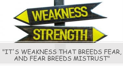

## "IT'S WEAKNESS THAT BREEDS FEAR, AND FEAR BREEDS MISTRUST"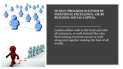

**HUMAN PROGRESS IS EITHER BY INDIVIDUAL EXCELLENCE, OR BY BUILDING SOCIAL CAPITAL.**

Leaders either walk in the front and take all initiatives, or walk behind like a fox herd making everyone secure or walk along and together making the best of all worlds.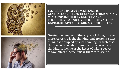



**INDIVIDUAL HUMAN EXCELLENCE IS GENERALLY ACHIEVED BY UNCLUTTERED MIND, A MIND UNPOLLUTED BY UNNECESSARY THOUGHTS, PRODUCTIVE THOUGHTS, NOT BY UNPROGRESSIVE OR REGRESSIVE THOUGHTS.**

Greater the number of these types of thoughts, the more regressive is the thinking, and greater is space of mind is occupied by such thinking. In such case, the person is not able to make any investment of thinking, rather he or she keeps of taking guards to save himself/herself make them safe, secure.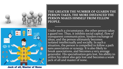![](_page_3_Picture_0.jpeg)

**THE GREATER THE NUMBER OF GUARDS THE PERSON TAKES, THE MORE DISTANCED THE PERSON MAKES HIMSELF FROM FELLOW PEOPLE.**

![](_page_3_Figure_2.jpeg)

Under such a circumstance, the other person takes a guard too. Thus, it inhibits social capital, flow of transparent communication, hinders exchange of ideas, and the person ultimately becomes isolated intellectually and socially. In such a situation, the person is compelled to follow a path sans association or synergy. It is also likely to break associations, and becomes a very average generalist. His specialization gets lost, his ability to utilize his talent also gets lost and becomes a weak jack of all and master of none.

Jack of all, Master of None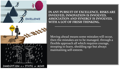![](_page_4_Picture_0.jpeg)

**IN ANY PURSUIT OF EXCELLENCE, RISKS ARE INVOLVED, INNOVATION IS INVOLVED, ASSOCIATION AND SYNERGY IS INVOLVED, WITH A LOT OF FRESH THINKING.**

Moving ahead means some mistakes will occur, then the mistakes are to be managed, through a flexible approach all which requires courage, stooping to learn, shedding ego but always maintaining self-esteem.

![](_page_4_Picture_3.jpeg)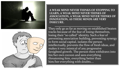![](_page_5_Picture_0.jpeg)

**A WEAK MIND NEVER THINKS OF STOPPING TO LEARN, A WEAK MIND NEVER THINKS OF ASSOCIATION, A WEAK MIND NEVER THINKS OF INNOVATION, AS THESE MINDS ARE VERY INSECURE.**

![](_page_5_Picture_2.jpeg)

They only go as far as moving on established beaten tracks because of the fear of losing themselves, losing their "so called" identity. Such a fear of preventing association building, preventing synergy to form social capital, isolates the person intellectually, prevents the flow of fresh ideas, and makes it very inimical of any progressive farsighted growth. The person then withdraws into his/her own cocoon and sees everything threatening him, everything better than him/her everything with doubts....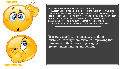![](_page_6_Picture_0.jpeg)

**DOUBTS CAN NEVER BE THE BASIS OF ANY RELATIONSHIP, CAN NEVER BE THE BASIS OF INNOVATION, NEVER BE THE BASIS OF ANY PROGRESS. DOUBT PERSISTING FOR LONG TIME DEGENERATES INTO SUSPICION. SUSPICION IS A SIGN OF VERY WEAK MIND AS IT PRESUPPOSES THAT SOMETHING IS WRONG SOMEWHERE AND IT BECOMES TRULY REFLECTIVE OF FEARFUL THINKING.**

True purusharth is moving ahead, making mistakes, learning from mistakes, improving that mistake, and thus innovating, forging greater understanding and bonding.